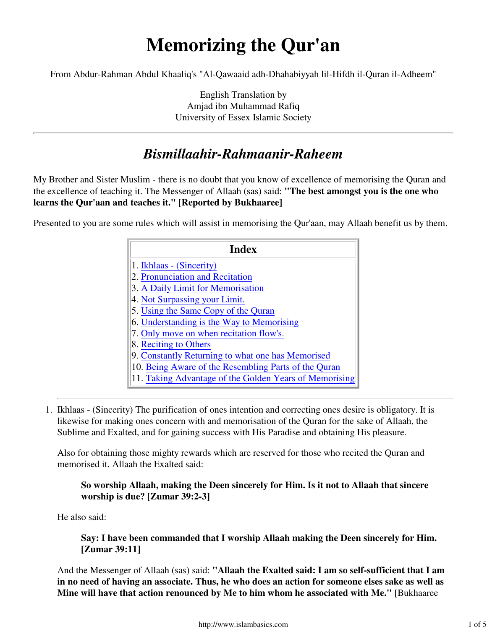# **Memorizing the Qur'an**

From Abdur-Rahman Abdul Khaaliq's "Al-Qawaaid adh-Dhahabiyyah lil-Hifdh il-Quran il-Adheem"

English Translation by Amjad ibn Muhammad Rafiq University of Essex Islamic Society

## *Bismillaahir-Rahmaanir-Raheem*

My Brother and Sister Muslim - there is no doubt that you know of excellence of memorising the Quran and the excellence of teaching it. The Messenger of Allaah (sas) said: **"The best amongst you is the one who learns the Qur'aan and teaches it." [Reported by Bukhaaree]**

Presented to you are some rules which will assist in memorising the Qur'aan, may Allaah benefit us by them.

| <b>Index</b>                                           |
|--------------------------------------------------------|
| 1. Ikhlaas - (Sincerity)                               |
| 2. Pronunciation and Recitation                        |
| 3. A Daily Limit for Memorisation                      |
| 4. Not Surpassing your Limit.                          |
| 5. Using the Same Copy of the Quran                    |
| 6. Understanding is the Way to Memorising              |
| 7. Only move on when recitation flow's.                |
| 8. Reciting to Others                                  |
| 9. Constantly Returning to what one has Memorised      |
| 10. Being Aware of the Resembling Parts of the Quran   |
| 11. Taking Advantage of the Golden Years of Memorising |

1. Ikhlaas - (Sincerity) The purification of ones intention and correcting ones desire is obligatory. It is likewise for making ones concern with and memorisation of the Quran for the sake of Allaah, the Sublime and Exalted, and for gaining success with His Paradise and obtaining His pleasure.

Also for obtaining those mighty rewards which are reserved for those who recited the Quran and memorised it. Allaah the Exalted said:

### **So worship Allaah, making the Deen sincerely for Him. Is it not to Allaah that sincere worship is due? [Zumar 39:2-3]**

He also said:

**Say: I have been commanded that I worship Allaah making the Deen sincerely for Him. [Zumar 39:11]**

And the Messenger of Allaah (sas) said: **"Allaah the Exalted said: I am so self-sufficient that I am in no need of having an associate. Thus, he who does an action for someone elses sake as well as Mine will have that action renounced by Me to him whom he associated with Me."** [Bukhaaree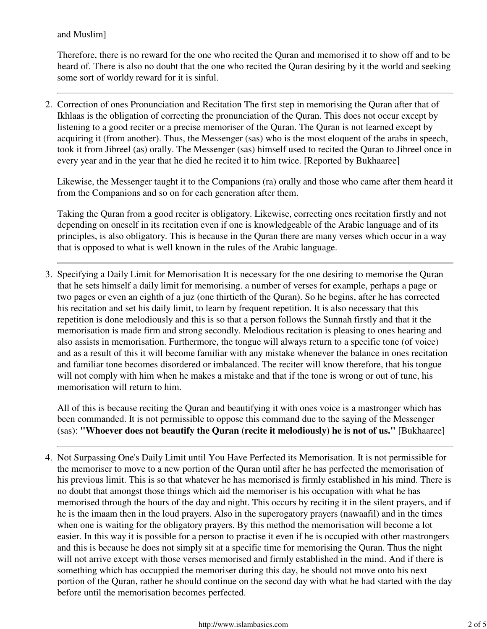#### and Muslim]

Therefore, there is no reward for the one who recited the Quran and memorised it to show off and to be heard of. There is also no doubt that the one who recited the Quran desiring by it the world and seeking some sort of worldy reward for it is sinful.

2. Correction of ones Pronunciation and Recitation The first step in memorising the Quran after that of Ikhlaas is the obligation of correcting the pronunciation of the Quran. This does not occur except by listening to a good reciter or a precise memoriser of the Quran. The Quran is not learned except by acquiring it (from another). Thus, the Messenger (sas) who is the most eloquent of the arabs in speech, took it from Jibreel (as) orally. The Messenger (sas) himself used to recited the Quran to Jibreel once in every year and in the year that he died he recited it to him twice. [Reported by Bukhaaree]

Likewise, the Messenger taught it to the Companions (ra) orally and those who came after them heard it from the Companions and so on for each generation after them.

Taking the Quran from a good reciter is obligatory. Likewise, correcting ones recitation firstly and not depending on oneself in its recitation even if one is knowledgeable of the Arabic language and of its principles, is also obligatory. This is because in the Quran there are many verses which occur in a way that is opposed to what is well known in the rules of the Arabic language.

3. Specifying a Daily Limit for Memorisation It is necessary for the one desiring to memorise the Quran that he sets himself a daily limit for memorising. a number of verses for example, perhaps a page or two pages or even an eighth of a juz (one thirtieth of the Quran). So he begins, after he has corrected his recitation and set his daily limit, to learn by frequent repetition. It is also necessary that this repetition is done melodiously and this is so that a person follows the Sunnah firstly and that it the memorisation is made firm and strong secondly. Melodious recitation is pleasing to ones hearing and also assists in memorisation. Furthermore, the tongue will always return to a specific tone (of voice) and as a result of this it will become familiar with any mistake whenever the balance in ones recitation and familiar tone becomes disordered or imbalanced. The reciter will know therefore, that his tongue will not comply with him when he makes a mistake and that if the tone is wrong or out of tune, his memorisation will return to him.

All of this is because reciting the Quran and beautifying it with ones voice is a mastronger which has been commanded. It is not permissible to oppose this command due to the saying of the Messenger (sas): **"Whoever does not beautify the Quran (recite it melodiously) he is not of us."** [Bukhaaree]

4. Not Surpassing One's Daily Limit until You Have Perfected its Memorisation. It is not permissible for the memoriser to move to a new portion of the Quran until after he has perfected the memorisation of his previous limit. This is so that whatever he has memorised is firmly established in his mind. There is no doubt that amongst those things which aid the memoriser is his occupation with what he has memorised through the hours of the day and night. This occurs by reciting it in the silent prayers, and if he is the imaam then in the loud prayers. Also in the superogatory prayers (nawaafil) and in the times when one is waiting for the obligatory prayers. By this method the memorisation will become a lot easier. In this way it is possible for a person to practise it even if he is occupied with other mastrongers and this is because he does not simply sit at a specific time for memorising the Quran. Thus the night will not arrive except with those verses memorised and firmly established in the mind. And if there is something which has occuppied the memoriser during this day, he should not move onto his next portion of the Quran, rather he should continue on the second day with what he had started with the day before until the memorisation becomes perfected.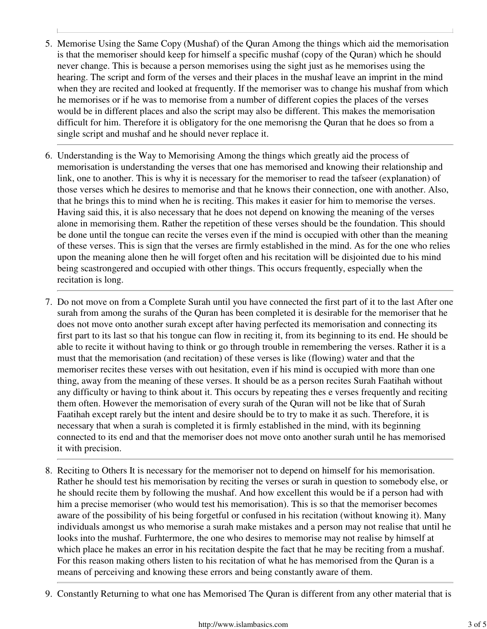- Memorise Using the Same Copy (Mushaf) of the Quran Among the things which aid the memorisation 5. is that the memoriser should keep for himself a specific mushaf (copy of the Quran) which he should never change. This is because a person memorises using the sight just as he memorises using the hearing. The script and form of the verses and their places in the mushaf leave an imprint in the mind when they are recited and looked at frequently. If the memoriser was to change his mushaf from which he memorises or if he was to memorise from a number of different copies the places of the verses would be in different places and also the script may also be different. This makes the memorisation difficult for him. Therefore it is obligatory for the one memorisng the Quran that he does so from a single script and mushaf and he should never replace it.
- 6. Understanding is the Way to Memorising Among the things which greatly aid the process of memorisation is understanding the verses that one has memorised and knowing their relationship and link, one to another. This is why it is necessary for the memoriser to read the tafseer (explanation) of those verses which he desires to memorise and that he knows their connection, one with another. Also, that he brings this to mind when he is reciting. This makes it easier for him to memorise the verses. Having said this, it is also necessary that he does not depend on knowing the meaning of the verses alone in memorising them. Rather the repetition of these verses should be the foundation. This should be done until the tongue can recite the verses even if the mind is occupied with other than the meaning of these verses. This is sign that the verses are firmly established in the mind. As for the one who relies upon the meaning alone then he will forget often and his recitation will be disjointed due to his mind being scastrongered and occupied with other things. This occurs frequently, especially when the recitation is long.
- 7. Do not move on from a Complete Surah until you have connected the first part of it to the last After one surah from among the surahs of the Quran has been completed it is desirable for the memoriser that he does not move onto another surah except after having perfected its memorisation and connecting its first part to its last so that his tongue can flow in reciting it, from its beginning to its end. He should be able to recite it without having to think or go through trouble in remembering the verses. Rather it is a must that the memorisation (and recitation) of these verses is like (flowing) water and that the memoriser recites these verses with out hesitation, even if his mind is occupied with more than one thing, away from the meaning of these verses. It should be as a person recites Surah Faatihah without any difficulty or having to think about it. This occurs by repeating thes e verses frequently and reciting them often. However the memorisation of every surah of the Quran will not be like that of Surah Faatihah except rarely but the intent and desire should be to try to make it as such. Therefore, it is necessary that when a surah is completed it is firmly established in the mind, with its beginning connected to its end and that the memoriser does not move onto another surah until he has memorised it with precision.
- 8. Reciting to Others It is necessary for the memoriser not to depend on himself for his memorisation. Rather he should test his memorisation by reciting the verses or surah in question to somebody else, or he should recite them by following the mushaf. And how excellent this would be if a person had with him a precise memoriser (who would test his memorisation). This is so that the memoriser becomes aware of the possibility of his being forgetful or confused in his recitation (without knowing it). Many individuals amongst us who memorise a surah make mistakes and a person may not realise that until he looks into the mushaf. Furhtermore, the one who desires to memorise may not realise by himself at which place he makes an error in his recitation despite the fact that he may be reciting from a mushaf. For this reason making others listen to his recitation of what he has memorised from the Quran is a means of perceiving and knowing these errors and being constantly aware of them.
- 9. Constantly Returning to what one has Memorised The Quran is different from any other material that is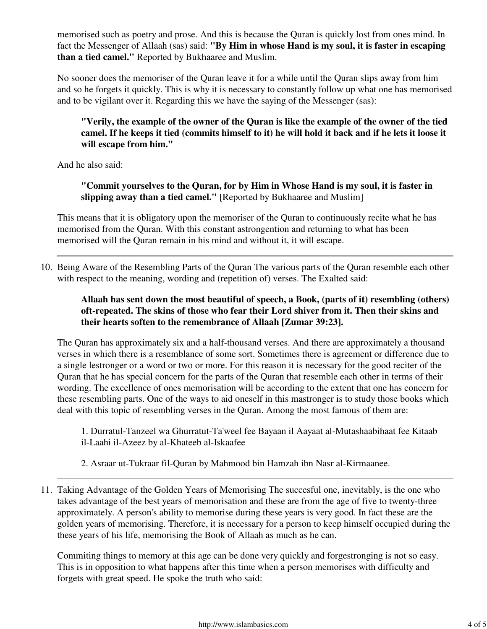memorised such as poetry and prose. And this is because the Quran is quickly lost from ones mind. In fact the Messenger of Allaah (sas) said: **"By Him in whose Hand is my soul, it is faster in escaping than a tied camel."** Reported by Bukhaaree and Muslim.

No sooner does the memoriser of the Quran leave it for a while until the Quran slips away from him and so he forgets it quickly. This is why it is necessary to constantly follow up what one has memorised and to be vigilant over it. Regarding this we have the saying of the Messenger (sas):

### **"Verily, the example of the owner of the Quran is like the example of the owner of the tied camel. If he keeps it tied (commits himself to it) he will hold it back and if he lets it loose it will escape from him."**

And he also said:

**"Commit yourselves to the Quran, for by Him in Whose Hand is my soul, it is faster in slipping away than a tied camel."** [Reported by Bukhaaree and Muslim]

This means that it is obligatory upon the memoriser of the Quran to continuously recite what he has memorised from the Quran. With this constant astrongention and returning to what has been memorised will the Quran remain in his mind and without it, it will escape.

10. Being Aware of the Resembling Parts of the Quran The various parts of the Quran resemble each other with respect to the meaning, wording and (repetition of) verses. The Exalted said:

**Allaah has sent down the most beautiful of speech, a Book, (parts of it) resembling (others) oft-repeated. The skins of those who fear their Lord shiver from it. Then their skins and their hearts soften to the remembrance of Allaah [Zumar 39:23].** 

The Quran has approximately six and a half-thousand verses. And there are approximately a thousand verses in which there is a resemblance of some sort. Sometimes there is agreement or difference due to a single lestronger or a word or two or more. For this reason it is necessary for the good reciter of the Quran that he has special concern for the parts of the Quran that resemble each other in terms of their wording. The excellence of ones memorisation will be according to the extent that one has concern for these resembling parts. One of the ways to aid oneself in this mastronger is to study those books which deal with this topic of resembling verses in the Quran. Among the most famous of them are:

1. Durratul-Tanzeel wa Ghurratut-Ta'weel fee Bayaan il Aayaat al-Mutashaabihaat fee Kitaab il-Laahi il-Azeez by al-Khateeb al-Iskaafee

2. Asraar ut-Tukraar fil-Quran by Mahmood bin Hamzah ibn Nasr al-Kirmaanee.

11. Taking Advantage of the Golden Years of Memorising The succesful one, inevitably, is the one who takes advantage of the best years of memorisation and these are from the age of five to twenty-three approximately. A person's ability to memorise during these years is very good. In fact these are the golden years of memorising. Therefore, it is necessary for a person to keep himself occupied during the these years of his life, memorising the Book of Allaah as much as he can.

Commiting things to memory at this age can be done very quickly and forgestronging is not so easy. This is in opposition to what happens after this time when a person memorises with difficulty and forgets with great speed. He spoke the truth who said: